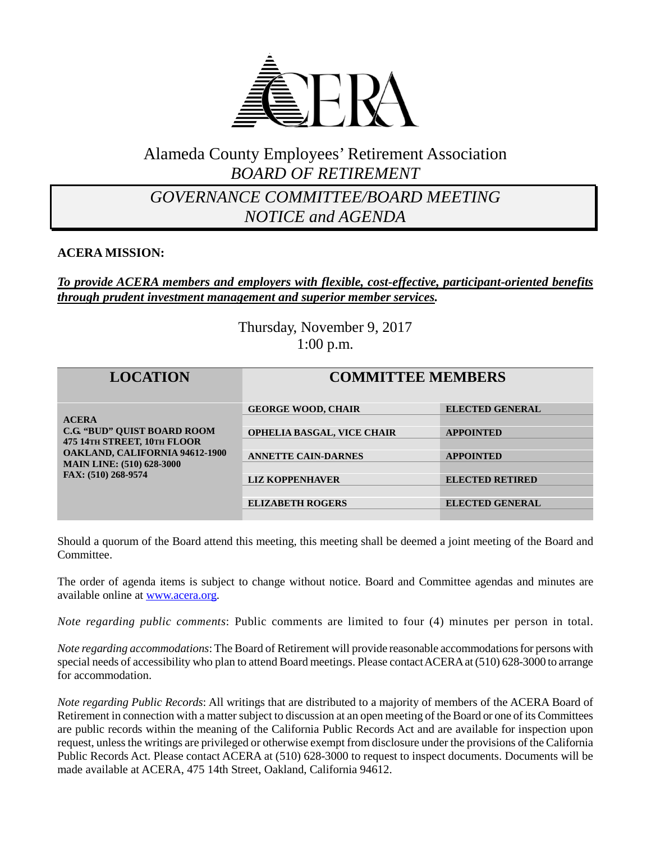

## Alameda County Employees' Retirement Association *BOARD OF RETIREMENT*

## *GOVERNANCE COMMITTEE/BOARD MEETING NOTICE and AGENDA*

#### **ACERA MISSION:**

#### *To provide ACERA members and employers with flexible, cost-effective, participant-oriented benefits through prudent investment management and superior member services.*

Thursday, November 9, 2017 1:00 p.m.

| <b>LOCATION</b>                                                                                                                                                                       | <b>COMMITTEE MEMBERS</b>          |                        |
|---------------------------------------------------------------------------------------------------------------------------------------------------------------------------------------|-----------------------------------|------------------------|
| <b>ACERA</b><br><b>C.G. "BUD" OUIST BOARD ROOM</b><br>475 14TH STREET, 10TH FLOOR<br><b>OAKLAND, CALIFORNIA 94612-1900</b><br><b>MAIN LINE: (510) 628-3000</b><br>FAX: (510) 268-9574 | <b>GEORGE WOOD, CHAIR</b>         | <b>ELECTED GENERAL</b> |
|                                                                                                                                                                                       |                                   |                        |
|                                                                                                                                                                                       | <b>OPHELIA BASGAL, VICE CHAIR</b> | <b>APPOINTED</b>       |
|                                                                                                                                                                                       | <b>ANNETTE CAIN-DARNES</b>        | <b>APPOINTED</b>       |
|                                                                                                                                                                                       |                                   |                        |
|                                                                                                                                                                                       | <b>LIZ KOPPENHAVER</b>            | <b>ELECTED RETIRED</b> |
|                                                                                                                                                                                       |                                   |                        |
|                                                                                                                                                                                       | <b>ELIZABETH ROGERS</b>           | <b>ELECTED GENERAL</b> |
|                                                                                                                                                                                       |                                   |                        |

Should a quorum of the Board attend this meeting, this meeting shall be deemed a joint meeting of the Board and Committee.

The order of agenda items is subject to change without notice. Board and Committee agendas and minutes are available online at [www.acera.org.](http://www.acera.org/)

*Note regarding public comments*: Public comments are limited to four (4) minutes per person in total.

*Note regarding accommodations*: The Board of Retirement will provide reasonable accommodations for persons with special needs of accessibility who plan to attend Board meetings. Please contact ACERA at (510) 628-3000 to arrange for accommodation.

*Note regarding Public Records*: All writings that are distributed to a majority of members of the ACERA Board of Retirement in connection with a matter subject to discussion at an open meeting of the Board or one of its Committees are public records within the meaning of the California Public Records Act and are available for inspection upon request, unless the writings are privileged or otherwise exempt from disclosure under the provisions of the California Public Records Act. Please contact ACERA at (510) 628-3000 to request to inspect documents. Documents will be made available at ACERA, 475 14th Street, Oakland, California 94612.